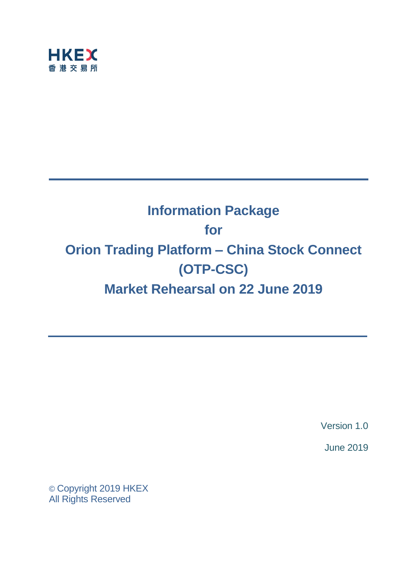

# **Information Package for Orion Trading Platform – China Stock Connect (OTP-CSC) Market Rehearsal on 22 June 2019**

Version 1.0

June 2019

© Copyright 2019 HKEX All Rights Reserved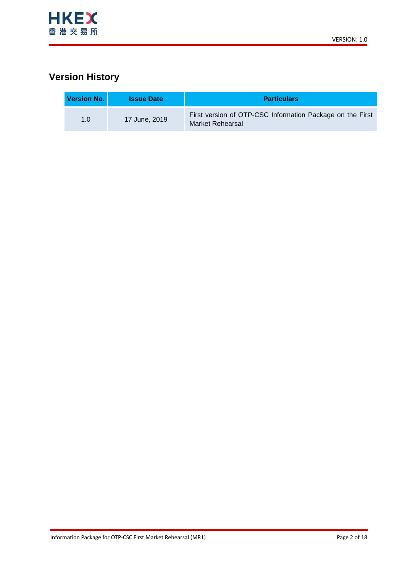

# **Version History**

| <b>Version No.</b> | <b>Issue Date</b> | <b>Particulars</b>                                                            |  |
|--------------------|-------------------|-------------------------------------------------------------------------------|--|
| 1. $\Omega$        | 17 June, 2019     | First version of OTP-CSC Information Package on the First<br>Market Rehearsal |  |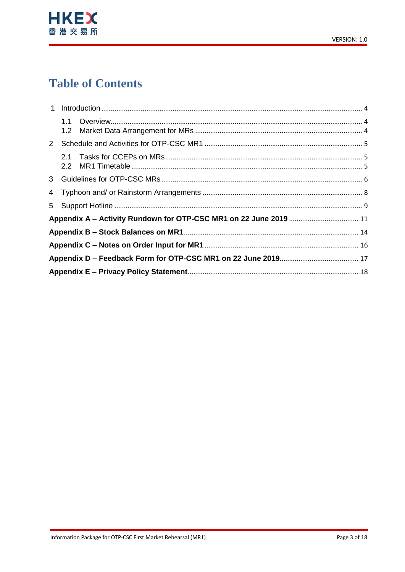

# **Table of Contents**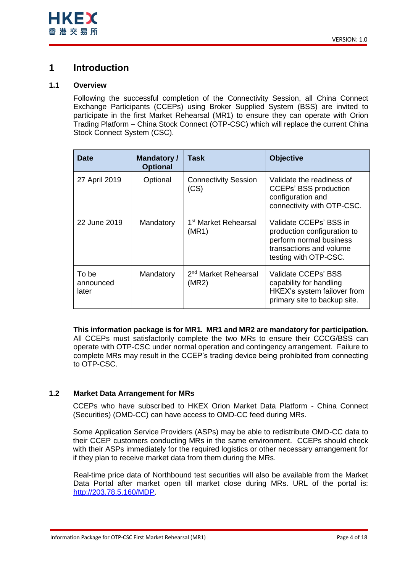## <span id="page-3-0"></span>**1 Introduction**

## <span id="page-3-1"></span>**1.1 Overview**

Following the successful completion of the Connectivity Session, all China Connect Exchange Participants (CCEPs) using Broker Supplied System (BSS) are invited to participate in the first Market Rehearsal (MR1) to ensure they can operate with Orion Trading Platform – China Stock Connect (OTP-CSC) which will replace the current China Stock Connect System (CSC).

| <b>Date</b>                 | <b>Mandatory /</b><br><b>Optional</b> | Task                                      | <b>Objective</b>                                                                                                                     |
|-----------------------------|---------------------------------------|-------------------------------------------|--------------------------------------------------------------------------------------------------------------------------------------|
| 27 April 2019               | Optional                              | <b>Connectivity Session</b><br>(CS)       | Validate the readiness of<br><b>CCEPs' BSS production</b><br>configuration and<br>connectivity with OTP-CSC.                         |
| 22 June 2019                | Mandatory                             | 1 <sup>st</sup> Market Rehearsal<br>(MR1) | Validate CCEPs' BSS in<br>production configuration to<br>perform normal business<br>transactions and volume<br>testing with OTP-CSC. |
| To be<br>announced<br>later | Mandatory                             | 2 <sup>nd</sup> Market Rehearsal<br>(MR2) | Validate CCEPs' BSS<br>capability for handling<br>HKEX's system failover from<br>primary site to backup site.                        |

**This information package is for MR1. MR1 and MR2 are mandatory for participation.**

All CCEPs must satisfactorily complete the two MRs to ensure their CCCG/BSS can operate with OTP-CSC under normal operation and contingency arrangement. Failure to complete MRs may result in the CCEP's trading device being prohibited from connecting to OTP-CSC.

## <span id="page-3-2"></span>**1.2 Market Data Arrangement for MRs**

CCEPs who have subscribed to HKEX Orion Market Data Platform - China Connect (Securities) (OMD-CC) can have access to OMD-CC feed during MRs.

Some Application Service Providers (ASPs) may be able to redistribute OMD-CC data to their CCEP customers conducting MRs in the same environment. CCEPs should check with their ASPs immediately for the required logistics or other necessary arrangement for if they plan to receive market data from them during the MRs.

Real-time price data of Northbound test securities will also be available from the Market Data Portal after market open till market close during MRs. URL of the portal is: [http://203.78.5.160/MDP.](http://203.78.5.160/MDP)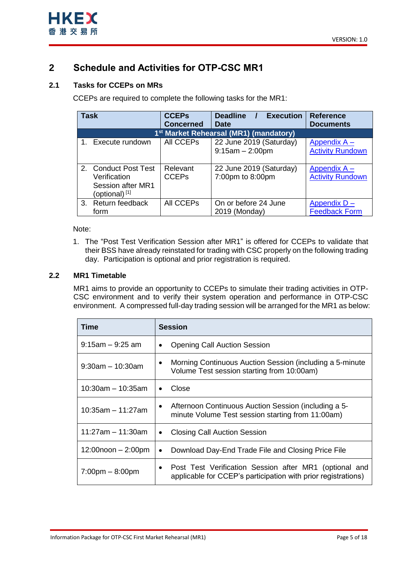

# <span id="page-4-0"></span>**2 Schedule and Activities for OTP-CSC MR1**

## <span id="page-4-1"></span>**2.1 Tasks for CCEPs on MRs**

CCEPs are required to complete the following tasks for the MR1:

| <b>Task</b> |                           | <b>CCEPs</b>     | <b>Deadline</b><br><b>Execution</b>                | <b>Reference</b>        |
|-------------|---------------------------|------------------|----------------------------------------------------|-------------------------|
|             |                           | <b>Concerned</b> | <b>Date</b>                                        | <b>Documents</b>        |
|             |                           |                  | 1 <sup>st</sup> Market Rehearsal (MR1) (mandatory) |                         |
|             | 1. Execute rundown        | All CCEPs        | 22 June 2019 (Saturday)                            | Appendix $A -$          |
|             |                           |                  | $9:15am - 2:00pm$                                  | <b>Activity Rundown</b> |
|             |                           |                  |                                                    |                         |
|             | 2. Conduct Post Test      | Relevant         | 22 June 2019 (Saturday)                            | Appendix $A -$          |
|             | Verification              | <b>CCEPs</b>     | 7:00pm to 8:00pm                                   | <b>Activity Rundown</b> |
|             | Session after MR1         |                  |                                                    |                         |
|             | (optional) <sup>[1]</sup> |                  |                                                    |                         |
|             | 3. Return feedback        | <b>All CCEPs</b> | On or before 24 June                               | Appendix D-             |
|             | form                      |                  | 2019 (Monday)                                      | <b>Feedback Form</b>    |

## Note:

1. The "Post Test Verification Session after MR1" is offered for CCEPs to validate that their BSS have already reinstated for trading with CSC properly on the following trading day. Participation is optional and prior registration is required.

## <span id="page-4-2"></span>**2.2 MR1 Timetable**

MR1 aims to provide an opportunity to CCEPs to simulate their trading activities in OTP-CSC environment and to verify their system operation and performance in OTP-CSC environment. A compressed full-day trading session will be arranged for the MR1 as below:

| Time                              | <b>Session</b>                                                                                                            |  |  |
|-----------------------------------|---------------------------------------------------------------------------------------------------------------------------|--|--|
| $9:15$ am – 9:25 am               | <b>Opening Call Auction Session</b><br>٠                                                                                  |  |  |
| $9:30$ am – 10:30am               | Morning Continuous Auction Session (including a 5-minute<br>٠<br>Volume Test session starting from 10:00am)               |  |  |
| $10:30$ am – 10:35am              | Close<br>٠                                                                                                                |  |  |
| $10:35$ am - 11:27am              | Afternoon Continuous Auction Session (including a 5-<br>$\bullet$<br>minute Volume Test session starting from 11:00am)    |  |  |
| 11:27am – 11:30am                 | <b>Closing Call Auction Session</b><br>٠                                                                                  |  |  |
| $12:00$ noon $-2:00$ pm           | Download Day-End Trade File and Closing Price File<br>$\bullet$                                                           |  |  |
| $7:00 \text{pm} - 8:00 \text{pm}$ | • Post Test Verification Session after MR1 (optional and<br>applicable for CCEP's participation with prior registrations) |  |  |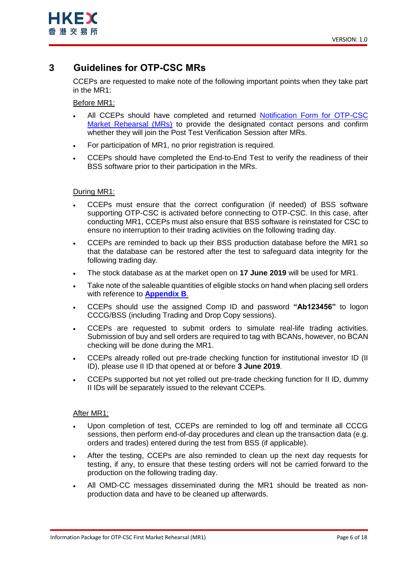

## <span id="page-5-0"></span>**3 Guidelines for OTP-CSC MRs**

CCEPs are requested to make note of the following important points when they take part in the MR1:

Before MR1:

- All CCEPs should have completed and returned [Notification Form for OTP-CSC](https://www.hkex.com.hk/-/media/HKEX-Market/Services/Circulars-and-Notices/Participant-and-Members-Circulars/SEHK/2019/CT04919E1)  [Market Rehearsal \(MRs\)](https://www.hkex.com.hk/-/media/HKEX-Market/Services/Circulars-and-Notices/Participant-and-Members-Circulars/SEHK/2019/CT04919E1) to provide the designated contact persons and confirm whether they will join the Post Test Verification Session after MRs.
- For participation of MR1, no prior registration is required.
- CCEPs should have completed the End-to-End Test to verify the readiness of their BSS software prior to their participation in the MRs.

### During MR1:

- CCEPs must ensure that the correct configuration (if needed) of BSS software supporting OTP-CSC is activated before connecting to OTP-CSC. In this case, after conducting MR1, CCEPs must also ensure that BSS software is reinstated for CSC to ensure no interruption to their trading activities on the following trading day.
- CCEPs are reminded to back up their BSS production database before the MR1 so that the database can be restored after the test to safeguard data integrity for the following trading day.
- The stock database as at the market open on **17 June 2019** will be used for MR1.
- Take note of the saleable quantities of eligible stocks on hand when placing sell orders with reference to **[Appendix B](#page-13-0)**.
- CCEPs should use the assigned Comp ID and password **"Ab123456"** to logon CCCG/BSS (including Trading and Drop Copy sessions).
- CCEPs are requested to submit orders to simulate real-life trading activities. Submission of buy and sell orders are required to tag with BCANs, however, no BCAN checking will be done during the MR1.
- CCEPs already rolled out pre-trade checking function for institutional investor ID (II ID), please use II ID that opened at or before **3 June 2019**.
- CCEPs supported but not yet rolled out pre-trade checking function for II ID, dummy II IDs will be separately issued to the relevant CCEPs.

### After MR1:

- Upon completion of test, CCEPs are reminded to log off and terminate all CCCG sessions, then perform end-of-day procedures and clean up the transaction data (e.g. orders and trades) entered during the test from BSS (if applicable).
- After the testing, CCEPs are also reminded to clean up the next day requests for testing, if any, to ensure that these testing orders will not be carried forward to the production on the following trading day.
- All OMD-CC messages disseminated during the MR1 should be treated as nonproduction data and have to be cleaned up afterwards.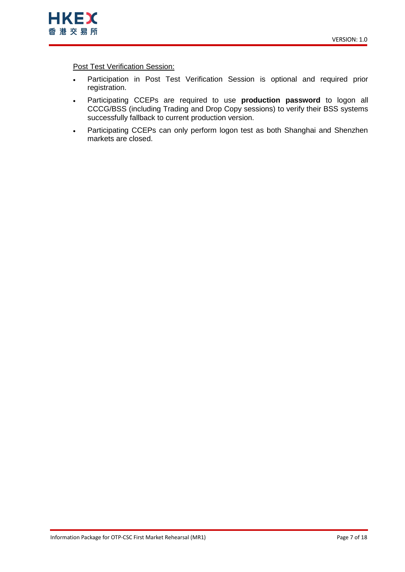

**Post Test Verification Session:** 

- Participation in Post Test Verification Session is optional and required prior registration.
- Participating CCEPs are required to use **production password** to logon all CCCG/BSS (including Trading and Drop Copy sessions) to verify their BSS systems successfully fallback to current production version.
- Participating CCEPs can only perform logon test as both Shanghai and Shenzhen markets are closed.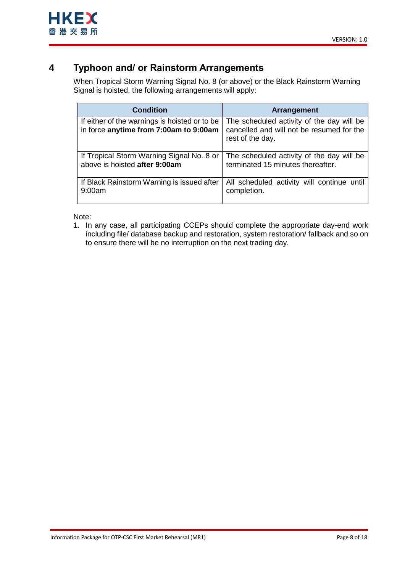# <span id="page-7-0"></span>**4 Typhoon and/ or Rainstorm Arrangements**

When Tropical Storm Warning Signal No. 8 (or above) or the Black Rainstorm Warning Signal is hoisted, the following arrangements will apply:

| <b>Condition</b>                                                                        | <b>Arrangement</b>                                                                                         |
|-----------------------------------------------------------------------------------------|------------------------------------------------------------------------------------------------------------|
| If either of the warnings is hoisted or to be<br>in force anytime from 7:00am to 9:00am | The scheduled activity of the day will be<br>cancelled and will not be resumed for the<br>rest of the day. |
| If Tropical Storm Warning Signal No. 8 or                                               | The scheduled activity of the day will be                                                                  |
| above is hoisted after 9:00am                                                           | terminated 15 minutes thereafter.                                                                          |
| If Black Rainstorm Warning is issued after                                              | All scheduled activity will continue until                                                                 |
| 9:00am                                                                                  | completion.                                                                                                |

Note:

1. In any case, all participating CCEPs should complete the appropriate day-end work including file/ database backup and restoration, system restoration/ fallback and so on to ensure there will be no interruption on the next trading day.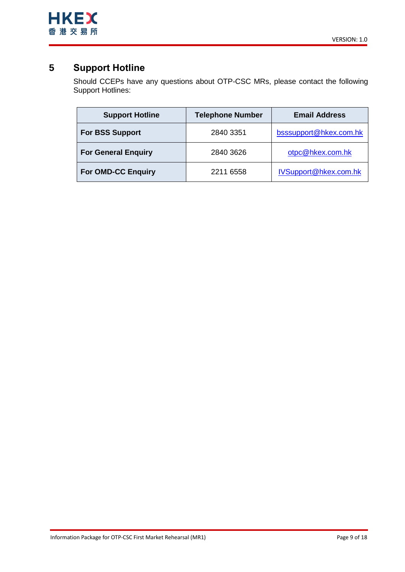

# <span id="page-8-0"></span>**5 Support Hotline**

Should CCEPs have any questions about OTP-CSC MRs, please contact the following Support Hotlines:

| <b>Support Hotline</b>     | <b>Telephone Number</b> | <b>Email Address</b>   |
|----------------------------|-------------------------|------------------------|
| <b>For BSS Support</b>     | 2840 3351               | bsssupport@hkex.com.hk |
| <b>For General Enquiry</b> | 2840 3626               | otpc@hkex.com.hk       |
| <b>For OMD-CC Enquiry</b>  | 2211 6558               | IVSupport@hkex.com.hk  |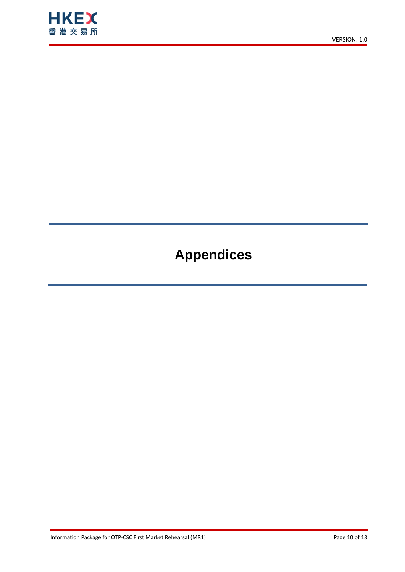

# **Appendices**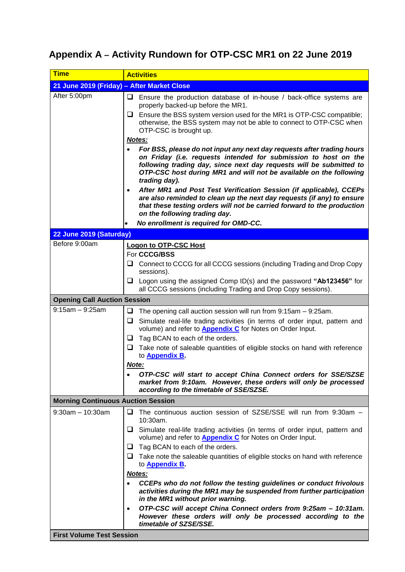# <span id="page-10-1"></span><span id="page-10-0"></span>**Appendix A – Activity Rundown for OTP-CSC MR1 on 22 June 2019**

| <b>Time</b>                                | <b>Activities</b>                                                                                                                                                                                                                                                                                       |
|--------------------------------------------|---------------------------------------------------------------------------------------------------------------------------------------------------------------------------------------------------------------------------------------------------------------------------------------------------------|
| 21 June 2019 (Friday) - After Market Close |                                                                                                                                                                                                                                                                                                         |
| After 5:00pm                               | Ensure the production database of in-house / back-office systems are<br>u.<br>properly backed-up before the MR1.                                                                                                                                                                                        |
|                                            | $\Box$ Ensure the BSS system version used for the MR1 is OTP-CSC compatible;<br>otherwise, the BSS system may not be able to connect to OTP-CSC when<br>OTP-CSC is brought up.                                                                                                                          |
|                                            | Notes:                                                                                                                                                                                                                                                                                                  |
|                                            | For BSS, please do not input any next day requests after trading hours<br>on Friday (i.e. requests intended for submission to host on the<br>following trading day, since next day requests will be submitted to<br>OTP-CSC host during MR1 and will not be available on the following<br>trading day). |
|                                            | After MR1 and Post Test Verification Session (if applicable), CCEPs<br>$\bullet$<br>are also reminded to clean up the next day requests (if any) to ensure<br>that these testing orders will not be carried forward to the production<br>on the following trading day.                                  |
|                                            | No enrollment is required for OMD-CC.                                                                                                                                                                                                                                                                   |
| 22 June 2019 (Saturday)                    |                                                                                                                                                                                                                                                                                                         |
| Before 9:00am                              | <b>Logon to OTP-CSC Host</b>                                                                                                                                                                                                                                                                            |
|                                            | For CCCG/BSS                                                                                                                                                                                                                                                                                            |
|                                            | Connect to CCCG for all CCCG sessions (including Trading and Drop Copy<br>u<br>sessions).                                                                                                                                                                                                               |
|                                            | $\Box$ Logon using the assigned Comp ID(s) and the password "Ab123456" for<br>all CCCG sessions (including Trading and Drop Copy sessions).                                                                                                                                                             |
| <b>Opening Call Auction Session</b>        |                                                                                                                                                                                                                                                                                                         |
| $9:15am - 9:25am$                          | ❏<br>The opening call auction session will run from 9:15am - 9:25am.<br>$\Box$ Simulate real-life trading activities (in terms of order input, pattern and<br>volume) and refer to <b>Appendix C</b> for Notes on Order Input.<br>Tag BCAN to each of the orders.<br>u.                                 |
|                                            | Take note of saleable quantities of eligible stocks on hand with reference<br>u.<br>to <b>Appendix B</b>                                                                                                                                                                                                |
|                                            | Note:                                                                                                                                                                                                                                                                                                   |
|                                            | OTP-CSC will start to accept China Connect orders for SSE/SZSE<br>market from 9:10am. However, these orders will only be processed<br>according to the timetable of SSE/SZSE.                                                                                                                           |
| <b>Morning Continuous Auction Session</b>  |                                                                                                                                                                                                                                                                                                         |
| $9:30$ am $-10:30$ am                      | $\Box$ The continuous auction session of SZSE/SSE will run from 9:30am -<br>10:30am.                                                                                                                                                                                                                    |
|                                            | $\Box$ Simulate real-life trading activities (in terms of order input, pattern and<br>volume) and refer to <b>Appendix C</b> for Notes on Order Input.                                                                                                                                                  |
|                                            | $\Box$ Tag BCAN to each of the orders.                                                                                                                                                                                                                                                                  |
|                                            | $\Box$ Take note the saleable quantities of eligible stocks on hand with reference<br>to <b>Appendix B</b> .                                                                                                                                                                                            |
|                                            | Notes:                                                                                                                                                                                                                                                                                                  |
|                                            | CCEPs who do not follow the testing guidelines or conduct frivolous<br>activities during the MR1 may be suspended from further participation<br>in the MR1 without prior warning.                                                                                                                       |
|                                            | OTP-CSC will accept China Connect orders from 9:25am - 10:31am.<br>$\bullet$<br>However these orders will only be processed according to the<br>timetable of SZSE/SSE.                                                                                                                                  |
| <b>First Volume Test Session</b>           |                                                                                                                                                                                                                                                                                                         |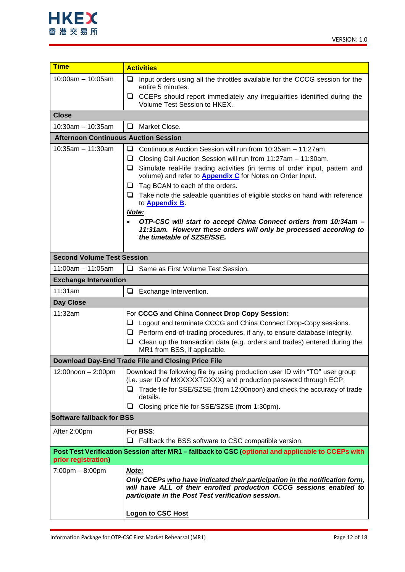

| <b>Time</b>                                                         |                                                                                                                                        |  |
|---------------------------------------------------------------------|----------------------------------------------------------------------------------------------------------------------------------------|--|
|                                                                     | <b>Activities</b>                                                                                                                      |  |
| $10:00$ am $-10:05$ am                                              | ❏<br>Input orders using all the throttles available for the CCCG session for the<br>entire 5 minutes.                                  |  |
|                                                                     | CCEPs should report immediately any irregularities identified during the<br>ப<br>Volume Test Session to HKEX.                          |  |
| <b>Close</b>                                                        |                                                                                                                                        |  |
| $10:30$ am - 10:35am                                                | Market Close.<br>❏                                                                                                                     |  |
| <b>Afternoon Continuous Auction Session</b>                         |                                                                                                                                        |  |
| $10:35$ am $-11:30$ am                                              |                                                                                                                                        |  |
|                                                                     | ❏<br>Continuous Auction Session will run from 10:35am - 11:27am.<br>Closing Call Auction Session will run from 11:27am - 11:30am.<br>□ |  |
|                                                                     | □<br>Simulate real-life trading activities (in terms of order input, pattern and                                                       |  |
|                                                                     | volume) and refer to <b>Appendix C</b> for Notes on Order Input.                                                                       |  |
|                                                                     | Tag BCAN to each of the orders.<br>⊔                                                                                                   |  |
|                                                                     | $\Box$ Take note the saleable quantities of eligible stocks on hand with reference                                                     |  |
|                                                                     | to <b>Appendix B.</b>                                                                                                                  |  |
|                                                                     | Note:                                                                                                                                  |  |
|                                                                     | OTP-CSC will start to accept China Connect orders from 10:34am -<br>$\bullet$                                                          |  |
|                                                                     | 11:31am. However these orders will only be processed according to<br>the timetable of SZSE/SSE.                                        |  |
|                                                                     |                                                                                                                                        |  |
| <b>Second Volume Test Session</b>                                   |                                                                                                                                        |  |
| $11:00am - 11:05am$                                                 | $\Box$<br>Same as First Volume Test Session.                                                                                           |  |
| <b>Exchange Intervention</b>                                        |                                                                                                                                        |  |
| 11:31am                                                             | Exchange Intervention.<br>□                                                                                                            |  |
| Day Close                                                           |                                                                                                                                        |  |
| 11:32am                                                             | For CCCG and China Connect Drop Copy Session:                                                                                          |  |
|                                                                     | Logout and terminate CCCG and China Connect Drop-Copy sessions.<br>⊔                                                                   |  |
|                                                                     | Perform end-of-trading procedures, if any, to ensure database integrity.<br>❏                                                          |  |
|                                                                     | Clean up the transaction data (e.g. orders and trades) entered during the<br>❏                                                         |  |
|                                                                     | MR1 from BSS, if applicable.                                                                                                           |  |
|                                                                     | Download Day-End Trade File and Closing Price File                                                                                     |  |
| $12:00$ noon $-2:00$ pm                                             | Download the following file by using production user ID with "TO" user group                                                           |  |
|                                                                     | (i.e. user ID of MXXXXXTOXXX) and production password through ECP:                                                                     |  |
|                                                                     | Trade file for SSE/SZSE (from 12:00noon) and check the accuracy of trade<br>⊔                                                          |  |
|                                                                     | details.<br>⊔                                                                                                                          |  |
| <b>Software fallback for BSS</b>                                    | Closing price file for SSE/SZSE (from 1:30pm).                                                                                         |  |
|                                                                     |                                                                                                                                        |  |
| After 2:00pm                                                        | For <b>BSS:</b>                                                                                                                        |  |
|                                                                     | Fallback the BSS software to CSC compatible version.<br>⊔                                                                              |  |
| prior registration)                                                 | Post Test Verification Session after MR1 - fallback to CSC (optional and applicable to CCEPs with                                      |  |
| $7:00 \text{pm} - 8:00 \text{pm}$                                   | Note:                                                                                                                                  |  |
|                                                                     | Only CCEPs who have indicated their participation in the notification form,                                                            |  |
| will have ALL of their enrolled production CCCG sessions enabled to |                                                                                                                                        |  |
|                                                                     | participate in the Post Test verification session.                                                                                     |  |
|                                                                     | <b>Logon to CSC Host</b>                                                                                                               |  |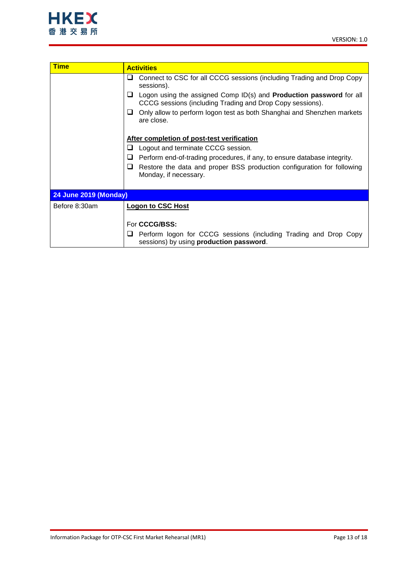

| <b>Time</b>                  | <b>Activities</b>                                                                                                                            |
|------------------------------|----------------------------------------------------------------------------------------------------------------------------------------------|
|                              | Connect to CSC for all CCCG sessions (including Trading and Drop Copy<br>⊔<br>sessions).                                                     |
|                              | Logon using the assigned Comp ID(s) and <b>Production password</b> for all<br>ப<br>CCCG sessions (including Trading and Drop Copy sessions). |
|                              | Only allow to perform logon test as both Shanghai and Shenzhen markets<br>⊔<br>are close.                                                    |
|                              | After completion of post-test verification                                                                                                   |
|                              | Logout and terminate CCCG session.<br>ப                                                                                                      |
|                              | ⊔<br>Perform end-of-trading procedures, if any, to ensure database integrity.                                                                |
|                              | Restore the data and proper BSS production configuration for following<br>❏<br>Monday, if necessary.                                         |
| <b>24 June 2019 (Monday)</b> |                                                                                                                                              |
|                              |                                                                                                                                              |
| Before 8:30am                | <b>Logon to CSC Host</b>                                                                                                                     |
|                              |                                                                                                                                              |
|                              | For CCCG/BSS:                                                                                                                                |
|                              | Perform logon for CCCG sessions (including Trading and Drop Copy<br>ப<br>sessions) by using production password.                             |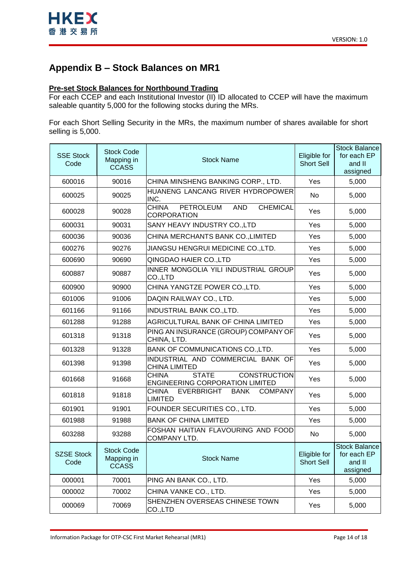

# <span id="page-13-0"></span>**Appendix B – Stock Balances on MR1**

## **Pre-set Stock Balances for Northbound Trading**

For each CCEP and each Institutional Investor (II) ID allocated to CCEP will have the maximum saleable quantity 5,000 for the following stocks during the MRs.

For each Short Selling Security in the MRs, the maximum number of shares available for short selling is 5,000.

| <b>SSE Stock</b><br>Code  | <b>Stock Code</b><br>Mapping in<br><b>CCASS</b> | <b>Stock Name</b>                                                                             | Eligible for<br><b>Short Sell</b> | <b>Stock Balance</b><br>for each EP<br>and II<br>assigned |
|---------------------------|-------------------------------------------------|-----------------------------------------------------------------------------------------------|-----------------------------------|-----------------------------------------------------------|
| 600016                    | 90016                                           | CHINA MINSHENG BANKING CORP., LTD.                                                            | Yes                               | 5,000                                                     |
| 600025                    | 90025                                           | HUANENG LANCANG RIVER HYDROPOWER<br>INC.                                                      | No                                | 5,000                                                     |
| 600028                    | 90028                                           | CHINA<br><b>PETROLEUM</b><br><b>AND</b><br><b>CHEMICAL</b><br><b>CORPORATION</b>              | Yes                               | 5,000                                                     |
| 600031                    | 90031                                           | SANY HEAVY INDUSTRY CO., LTD                                                                  | Yes                               | 5,000                                                     |
| 600036                    | 90036                                           | CHINA MERCHANTS BANK CO., LIMITED                                                             | Yes                               | 5,000                                                     |
| 600276                    | 90276                                           | JIANGSU HENGRUI MEDICINE CO., LTD.                                                            | Yes                               | 5,000                                                     |
| 600690                    | 90690                                           | QINGDAO HAIER CO., LTD                                                                        | Yes                               | 5,000                                                     |
| 600887                    | 90887                                           | INNER MONGOLIA YILI INDUSTRIAL GROUP<br>CO.,LTD                                               | Yes                               | 5,000                                                     |
| 600900                    | 90900                                           | CHINA YANGTZE POWER CO., LTD.                                                                 | Yes                               | 5,000                                                     |
| 601006                    | 91006                                           | DAQIN RAILWAY CO., LTD.                                                                       | Yes                               | 5,000                                                     |
| 601166                    | 91166                                           | <b>INDUSTRIAL BANK CO., LTD.</b>                                                              | Yes                               | 5,000                                                     |
| 601288                    | 91288                                           | AGRICULTURAL BANK OF CHINA LIMITED                                                            | Yes                               | 5,000                                                     |
| 601318                    | 91318                                           | PING AN INSURANCE (GROUP) COMPANY OF<br>CHINA, LTD.                                           | Yes                               | 5,000                                                     |
| 601328                    | 91328                                           | BANK OF COMMUNICATIONS CO., LTD.                                                              | Yes                               | 5,000                                                     |
| 601398                    | 91398                                           | INDUSTRIAL AND COMMERCIAL BANK OF<br><b>CHINA LIMITED</b>                                     | Yes                               | 5,000                                                     |
| 601668                    | 91668                                           | <b>STATE</b><br><b>CONSTRUCTION</b><br><b>CHINA</b><br><b>ENGINEERING CORPORATION LIMITED</b> | Yes                               | 5,000                                                     |
| 601818                    | 91818                                           | <b>EVERBRIGHT</b><br><b>BANK</b><br>CHINA<br><b>COMPANY</b><br><b>LIMITED</b>                 | Yes                               | 5,000                                                     |
| 601901                    | 91901                                           | FOUNDER SECURITIES CO., LTD.                                                                  | Yes                               | 5,000                                                     |
| 601988                    | 91988                                           | <b>BANK OF CHINA LIMITED</b>                                                                  | Yes                               | 5,000                                                     |
| 603288                    | 93288                                           | FOSHAN HAITIAN FLAVOURING AND FOOD<br>COMPANY LTD.                                            | No                                | 5,000                                                     |
| <b>SZSE Stock</b><br>Code | <b>Stock Code</b><br>Mapping in<br><b>CCASS</b> | <b>Stock Name</b>                                                                             | Eligible for<br>Short Sell        | Stock Balance<br>for each EP<br>and II<br>assigned        |
| 000001                    | 70001                                           | PING AN BANK CO., LTD.                                                                        | Yes                               | 5,000                                                     |
| 000002                    | 70002                                           | CHINA VANKE CO., LTD.                                                                         | Yes                               | 5,000                                                     |
| 000069                    | 70069                                           | SHENZHEN OVERSEAS CHINESE TOWN<br>CO.,LTD                                                     | Yes                               | 5,000                                                     |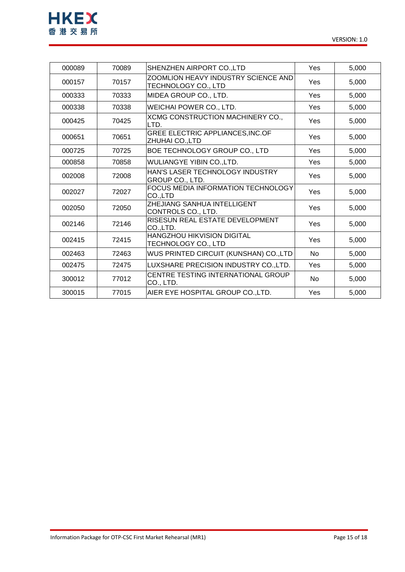

| 000089 | 70089 | SHENZHEN AIRPORT CO., LTD                                  | Yes | 5,000 |
|--------|-------|------------------------------------------------------------|-----|-------|
| 000157 | 70157 | ZOOMLION HEAVY INDUSTRY SCIENCE AND<br>TECHNOLOGY CO., LTD | Yes | 5,000 |
| 000333 | 70333 | MIDEA GROUP CO., LTD.                                      | Yes | 5,000 |
| 000338 | 70338 | WEICHAI POWER CO., LTD.                                    | Yes | 5,000 |
| 000425 | 70425 | XCMG CONSTRUCTION MACHINERY CO.,<br>LTD.                   | Yes | 5,000 |
| 000651 | 70651 | GREE ELECTRIC APPLIANCES, INC.OF<br>ZHUHAI CO., LTD        | Yes | 5,000 |
| 000725 | 70725 | BOE TECHNOLOGY GROUP CO., LTD                              | Yes | 5,000 |
| 000858 | 70858 | WULIANGYE YIBIN CO., LTD.                                  | Yes | 5,000 |
| 002008 | 72008 | HAN'S LASER TECHNOLOGY INDUSTRY<br>GROUP CO., LTD.         | Yes | 5,000 |
| 002027 | 72027 | FOCUS MEDIA INFORMATION TECHNOLOGY<br>CO.,LTD              | Yes | 5,000 |
| 002050 | 72050 | <b>ZHEJIANG SANHUA INTELLIGENT</b><br>CONTROLS CO., LTD.   | Yes | 5,000 |
| 002146 | 72146 | RISESUN REAL ESTATE DEVELOPMENT<br>CO.,LTD.                | Yes | 5,000 |
| 002415 | 72415 | HANGZHOU HIKVISION DIGITAL<br>TECHNOLOGY CO., LTD          | Yes | 5,000 |
| 002463 | 72463 | WUS PRINTED CIRCUIT (KUNSHAN) CO.,LTD                      | No. | 5,000 |
| 002475 | 72475 | LUXSHARE PRECISION INDUSTRY CO., LTD.                      | Yes | 5,000 |
| 300012 | 77012 | CENTRE TESTING INTERNATIONAL GROUP<br>CO., LTD.            | No  | 5,000 |
| 300015 | 77015 | AIER EYE HOSPITAL GROUP CO., LTD.                          | Yes | 5,000 |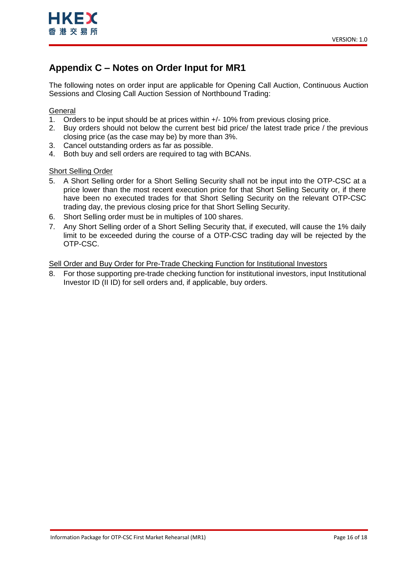# <span id="page-15-1"></span><span id="page-15-0"></span>**Appendix C – Notes on Order Input for MR1**

The following notes on order input are applicable for Opening Call Auction, Continuous Auction Sessions and Closing Call Auction Session of Northbound Trading:

## **General**

- 1. Orders to be input should be at prices within +/- 10% from previous closing price.
- 2. Buy orders should not below the current best bid price/ the latest trade price / the previous closing price (as the case may be) by more than 3%.
- 3. Cancel outstanding orders as far as possible.
- 4. Both buy and sell orders are required to tag with BCANs.

## Short Selling Order

- 5. A Short Selling order for a Short Selling Security shall not be input into the OTP-CSC at a price lower than the most recent execution price for that Short Selling Security or, if there have been no executed trades for that Short Selling Security on the relevant OTP-CSC trading day, the previous closing price for that Short Selling Security.
- 6. Short Selling order must be in multiples of 100 shares.
- 7. Any Short Selling order of a Short Selling Security that, if executed, will cause the 1% daily limit to be exceeded during the course of a OTP-CSC trading day will be rejected by the OTP-CSC.

## Sell Order and Buy Order for Pre-Trade Checking Function for Institutional Investors

8. For those supporting pre-trade checking function for institutional investors, input Institutional Investor ID (II ID) for sell orders and, if applicable, buy orders.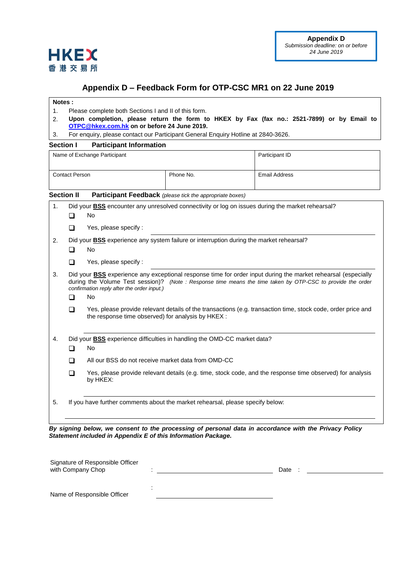

## <span id="page-16-1"></span>**Appendix D – Feedback Form for OTP-CSC MR1 on 22 June 2019**

#### <span id="page-16-0"></span>**Notes :**

**HKEX** 香港交易所

- 1. Please complete both Sections I and II of this form.
- 2. **Upon completion, please return the form to HKEX by Fax (fax no.: 2521-7899) or by Email to [OTPC@hkex.com.hk](mailto:OTPC@hkex.com.hk) on or before 24 June 2019.**
- 3. For enquiry, please contact our Participant General Enquiry Hotline at 2840-3626.

### **Section I Participant Information**

|                       |                                                                                                         | Name of Exchange Participant                                                                                                                                                                                                                                                                                                                                                                                                                                  |           | Participant ID       |  |  |  |  |  |
|-----------------------|---------------------------------------------------------------------------------------------------------|---------------------------------------------------------------------------------------------------------------------------------------------------------------------------------------------------------------------------------------------------------------------------------------------------------------------------------------------------------------------------------------------------------------------------------------------------------------|-----------|----------------------|--|--|--|--|--|
| <b>Contact Person</b> |                                                                                                         |                                                                                                                                                                                                                                                                                                                                                                                                                                                               | Phone No. | <b>Email Address</b> |  |  |  |  |  |
|                       | <b>Section II</b>                                                                                       | <b>Participant Feedback</b> (please tick the appropriate boxes)                                                                                                                                                                                                                                                                                                                                                                                               |           |                      |  |  |  |  |  |
| $\mathbf{1}$ .        | Did your <b>BSS</b> encounter any unresolved connectivity or log on issues during the market rehearsal? |                                                                                                                                                                                                                                                                                                                                                                                                                                                               |           |                      |  |  |  |  |  |
|                       | □                                                                                                       | No                                                                                                                                                                                                                                                                                                                                                                                                                                                            |           |                      |  |  |  |  |  |
|                       | $\Box$                                                                                                  | Yes, please specify :                                                                                                                                                                                                                                                                                                                                                                                                                                         |           |                      |  |  |  |  |  |
| 2.                    |                                                                                                         | Did your <b>BSS</b> experience any system failure or interruption during the market rehearsal?                                                                                                                                                                                                                                                                                                                                                                |           |                      |  |  |  |  |  |
|                       |                                                                                                         | No                                                                                                                                                                                                                                                                                                                                                                                                                                                            |           |                      |  |  |  |  |  |
|                       | ◻                                                                                                       | Yes, please specify:                                                                                                                                                                                                                                                                                                                                                                                                                                          |           |                      |  |  |  |  |  |
| 3.                    | ┓<br>□                                                                                                  | Did your <b>BSS</b> experience any exceptional response time for order input during the market rehearsal (especially<br>during the Volume Test session)? (Note : Response time means the time taken by OTP-CSC to provide the order<br>confirmation reply after the order input.)<br>No<br>Yes, please provide relevant details of the transactions (e.g. transaction time, stock code, order price and<br>the response time observed) for analysis by HKEX : |           |                      |  |  |  |  |  |
| 4.                    | Did your <b>BSS</b> experience difficulties in handling the OMD-CC market data?                         |                                                                                                                                                                                                                                                                                                                                                                                                                                                               |           |                      |  |  |  |  |  |
|                       | $\Box$                                                                                                  | No                                                                                                                                                                                                                                                                                                                                                                                                                                                            |           |                      |  |  |  |  |  |
|                       | $\Box$                                                                                                  | All our BSS do not receive market data from OMD-CC                                                                                                                                                                                                                                                                                                                                                                                                            |           |                      |  |  |  |  |  |
|                       | $\Box$                                                                                                  | Yes, please provide relevant details (e.g. time, stock code, and the response time observed) for analysis<br>by HKEX:                                                                                                                                                                                                                                                                                                                                         |           |                      |  |  |  |  |  |
| 5.                    |                                                                                                         | If you have further comments about the market rehearsal, please specify below:                                                                                                                                                                                                                                                                                                                                                                                |           |                      |  |  |  |  |  |

*By signing below, we consent to the processing of personal data in accordance with the Privacy Policy Statement included in Appendix E of this Information Package.*

| Signature of Responsible Officer<br>with Company Chop |  |  |  | Date |  |  |
|-------------------------------------------------------|--|--|--|------|--|--|
|                                                       |  |  |  |      |  |  |
| Name of Responsible Officer                           |  |  |  |      |  |  |